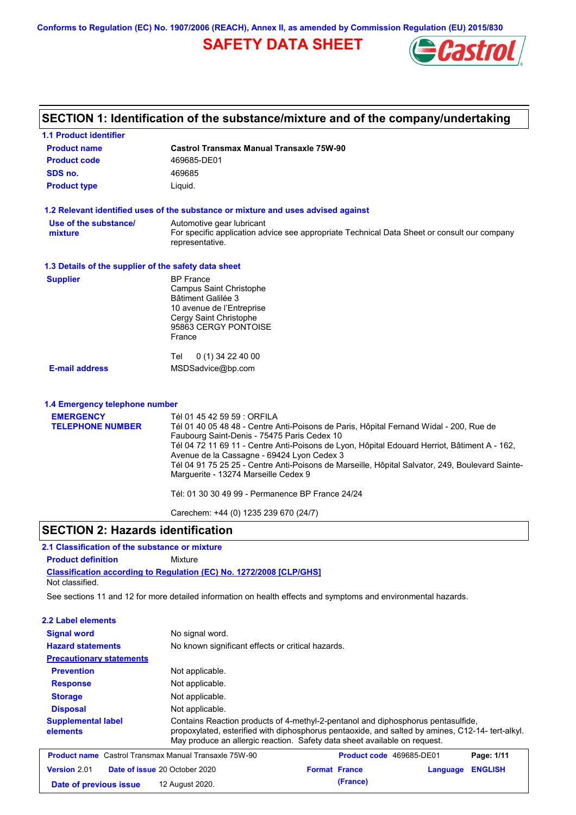**Conforms to Regulation (EC) No. 1907/2006 (REACH), Annex II, as amended by Commission Regulation (EU) 2015/830**

## **SAFETY DATA SHEET**



# **SECTION 1: Identification of the substance/mixture and of the company/undertaking**

| <b>1.1 Product identifier</b>                        |                                                                                                                                                                                                                                                                                                                                                                                                                                                               |
|------------------------------------------------------|---------------------------------------------------------------------------------------------------------------------------------------------------------------------------------------------------------------------------------------------------------------------------------------------------------------------------------------------------------------------------------------------------------------------------------------------------------------|
| <b>Product name</b>                                  | <b>Castrol Transmax Manual Transaxle 75W-90</b>                                                                                                                                                                                                                                                                                                                                                                                                               |
| <b>Product code</b>                                  | 469685-DE01                                                                                                                                                                                                                                                                                                                                                                                                                                                   |
| SDS no.                                              | 469685                                                                                                                                                                                                                                                                                                                                                                                                                                                        |
| <b>Product type</b>                                  | Liquid.                                                                                                                                                                                                                                                                                                                                                                                                                                                       |
|                                                      | 1.2 Relevant identified uses of the substance or mixture and uses advised against                                                                                                                                                                                                                                                                                                                                                                             |
| Use of the substance/<br>mixture                     | Automotive gear lubricant<br>For specific application advice see appropriate Technical Data Sheet or consult our company<br>representative.                                                                                                                                                                                                                                                                                                                   |
| 1.3 Details of the supplier of the safety data sheet |                                                                                                                                                                                                                                                                                                                                                                                                                                                               |
| <b>Supplier</b>                                      | <b>BP</b> France<br>Campus Saint Christophe<br>Bâtiment Galilée 3<br>10 avenue de l'Entreprise<br>Cergy Saint Christophe<br>95863 CERGY PONTOISE<br>France                                                                                                                                                                                                                                                                                                    |
| <b>E-mail address</b>                                | 0 (1) 34 22 40 00<br>Tel<br>MSDSadvice@bp.com                                                                                                                                                                                                                                                                                                                                                                                                                 |
| 1.4 Emergency telephone number                       |                                                                                                                                                                                                                                                                                                                                                                                                                                                               |
| <b>EMERGENCY</b><br><b>TELEPHONE NUMBER</b>          | Tél 01 45 42 59 59 : ORFILA<br>Tél 01 40 05 48 48 - Centre Anti-Poisons de Paris, Hôpital Fernand Widal - 200, Rue de<br>Faubourg Saint-Denis - 75475 Paris Cedex 10<br>Tél 04 72 11 69 11 - Centre Anti-Poisons de Lyon, Hôpital Edouard Herriot, Bâtiment A - 162,<br>Avenue de la Cassagne - 69424 Lyon Cedex 3<br>Tél 04 91 75 25 25 - Centre Anti-Poisons de Marseille, Hôpital Salvator, 249, Boulevard Sainte-<br>Marguerite - 13274 Marseille Cedex 9 |
|                                                      | Tél: 01 30 30 49 99 - Permanence BP France 24/24                                                                                                                                                                                                                                                                                                                                                                                                              |
|                                                      | Carechem: +44 (0) 1235 239 670 (24/7)                                                                                                                                                                                                                                                                                                                                                                                                                         |

### **SECTION 2: Hazards identification**

### **2.1 Classification of the substance or mixture**

**Product definition** Mixture

**Classification according to Regulation (EC) No. 1272/2008 [CLP/GHS]** Not classified.

See sections 11 and 12 for more detailed information on health effects and symptoms and environmental hazards.

| 2.2 Label elements                                           |                                                                                                                                                                                                                                                                  |                          |          |                |
|--------------------------------------------------------------|------------------------------------------------------------------------------------------------------------------------------------------------------------------------------------------------------------------------------------------------------------------|--------------------------|----------|----------------|
| <b>Signal word</b>                                           | No signal word.                                                                                                                                                                                                                                                  |                          |          |                |
| <b>Hazard statements</b>                                     | No known significant effects or critical hazards.                                                                                                                                                                                                                |                          |          |                |
| <b>Precautionary statements</b>                              |                                                                                                                                                                                                                                                                  |                          |          |                |
| <b>Prevention</b>                                            | Not applicable.                                                                                                                                                                                                                                                  |                          |          |                |
| <b>Response</b>                                              | Not applicable.                                                                                                                                                                                                                                                  |                          |          |                |
| <b>Storage</b>                                               | Not applicable.                                                                                                                                                                                                                                                  |                          |          |                |
| <b>Disposal</b>                                              | Not applicable.                                                                                                                                                                                                                                                  |                          |          |                |
| <b>Supplemental label</b><br>elements                        | Contains Reaction products of 4-methyl-2-pentanol and diphosphorus pentasulfide.<br>propoxylated, esterified with diphosphorus pentaoxide, and salted by amines, C12-14-tert-alkyl.<br>May produce an allergic reaction. Safety data sheet available on request. |                          |          |                |
| <b>Product name</b> Castrol Transmax Manual Transaxle 75W-90 |                                                                                                                                                                                                                                                                  | Product code 469685-DE01 |          | Page: 1/11     |
| Version 2.01                                                 | Date of issue 20 October 2020                                                                                                                                                                                                                                    | <b>Format France</b>     | Language | <b>ENGLISH</b> |
| Date of previous issue                                       | 12 August 2020.                                                                                                                                                                                                                                                  | (France)                 |          |                |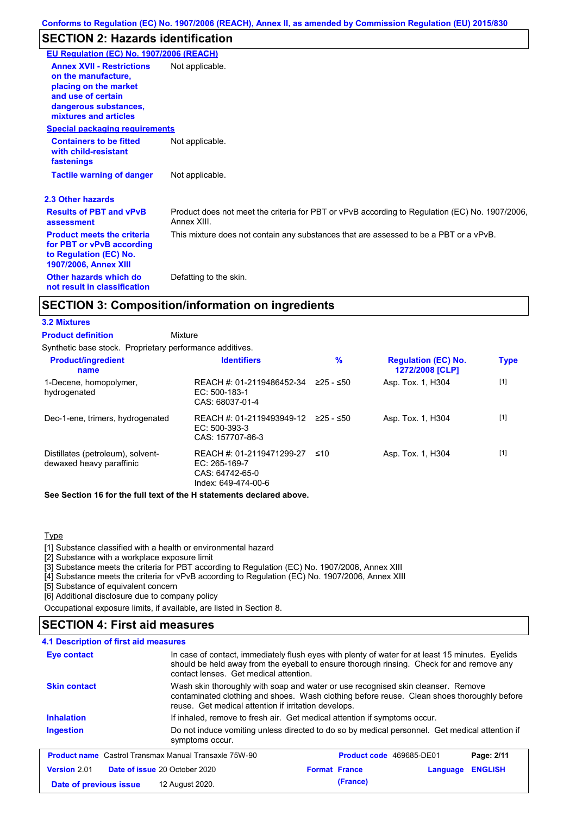## **SECTION 2: Hazards identification**

| EU Regulation (EC) No. 1907/2006 (REACH)                                                                                 |                                                                                                               |
|--------------------------------------------------------------------------------------------------------------------------|---------------------------------------------------------------------------------------------------------------|
|                                                                                                                          |                                                                                                               |
| <b>Annex XVII - Restrictions</b><br>on the manufacture.<br>placing on the market<br>and use of certain                   | Not applicable.                                                                                               |
| dangerous substances,<br>mixtures and articles                                                                           |                                                                                                               |
| <b>Special packaging requirements</b>                                                                                    |                                                                                                               |
| <b>Containers to be fitted</b><br>with child-resistant<br>fastenings                                                     | Not applicable.                                                                                               |
| <b>Tactile warning of danger</b>                                                                                         | Not applicable.                                                                                               |
| 2.3 Other hazards                                                                                                        |                                                                                                               |
| <b>Results of PBT and vPvB</b><br>assessment                                                                             | Product does not meet the criteria for PBT or vPvB according to Regulation (EC) No. 1907/2006,<br>Annex XIII. |
| <b>Product meets the criteria</b><br>for PBT or vPvB according<br>to Regulation (EC) No.<br><b>1907/2006, Annex XIII</b> | This mixture does not contain any substances that are assessed to be a PBT or a vPvB.                         |
| Other hazards which do<br>not result in classification                                                                   | Defatting to the skin.                                                                                        |

## **SECTION 3: Composition/information on ingredients**

### **3.2 Mixtures**

| <b>Product definition</b> | Mixture                                                  |
|---------------------------|----------------------------------------------------------|
|                           | Synthetic base stock. Proprietary performance additives. |

| <b>Product/ingredient</b><br>name                             | <b>Identifiers</b>                                                                     | $\%$      | <b>Regulation (EC) No.</b><br>1272/2008 [CLP] | <b>Type</b> |
|---------------------------------------------------------------|----------------------------------------------------------------------------------------|-----------|-----------------------------------------------|-------------|
| 1-Decene, homopolymer,<br>hydrogenated                        | REACH #: 01-2119486452-34<br>$EC: 500-183-1$<br>CAS: 68037-01-4                        | 225 - ≤50 | Asp. Tox. 1, H304                             | $[1]$       |
| Dec-1-ene, trimers, hydrogenated                              | REACH #: 01-2119493949-12<br>$EC: 500-393-3$<br>CAS: 157707-86-3                       | 225 - ≤50 | Asp. Tox. 1, H304                             | $[1]$       |
| Distillates (petroleum), solvent-<br>dewaxed heavy paraffinic | REACH #: 01-2119471299-27<br>$EC: 265-169-7$<br>CAS: 64742-65-0<br>Index: 649-474-00-6 | ≤10       | Asp. Tox. 1, H304                             | $[1]$       |

**See Section 16 for the full text of the H statements declared above.**

### Type

[1] Substance classified with a health or environmental hazard

[2] Substance with a workplace exposure limit

[3] Substance meets the criteria for PBT according to Regulation (EC) No. 1907/2006, Annex XIII

[4] Substance meets the criteria for vPvB according to Regulation (EC) No. 1907/2006, Annex XIII

[5] Substance of equivalent concern

[6] Additional disclosure due to company policy

Occupational exposure limits, if available, are listed in Section 8.

### **SECTION 4: First aid measures**

```
4.1 Description of first aid measures
```

| <b>Eye contact</b>                                           | In case of contact, immediately flush eyes with plenty of water for at least 15 minutes. Eyelids<br>should be held away from the eyeball to ensure thorough rinsing. Check for and remove any<br>contact lenses. Get medical attention.<br>Wash skin thoroughly with soap and water or use recognised skin cleanser. Remove<br>contaminated clothing and shoes. Wash clothing before reuse. Clean shoes thoroughly before<br>reuse. Get medical attention if irritation develops. |                          |          |                |
|--------------------------------------------------------------|-----------------------------------------------------------------------------------------------------------------------------------------------------------------------------------------------------------------------------------------------------------------------------------------------------------------------------------------------------------------------------------------------------------------------------------------------------------------------------------|--------------------------|----------|----------------|
| <b>Skin contact</b>                                          |                                                                                                                                                                                                                                                                                                                                                                                                                                                                                   |                          |          |                |
| <b>Inhalation</b>                                            | If inhaled, remove to fresh air. Get medical attention if symptoms occur.                                                                                                                                                                                                                                                                                                                                                                                                         |                          |          |                |
| <b>Ingestion</b>                                             | Do not induce vomiting unless directed to do so by medical personnel. Get medical attention if<br>symptoms occur.                                                                                                                                                                                                                                                                                                                                                                 |                          |          |                |
| <b>Product name</b> Castrol Transmax Manual Transaxle 75W-90 |                                                                                                                                                                                                                                                                                                                                                                                                                                                                                   | Product code 469685-DE01 |          | Page: 2/11     |
| Date of issue 20 October 2020<br>Version 2.01                |                                                                                                                                                                                                                                                                                                                                                                                                                                                                                   | <b>Format France</b>     | Language | <b>ENGLISH</b> |
| Date of previous issue                                       | 12 August 2020.                                                                                                                                                                                                                                                                                                                                                                                                                                                                   | (France)                 |          |                |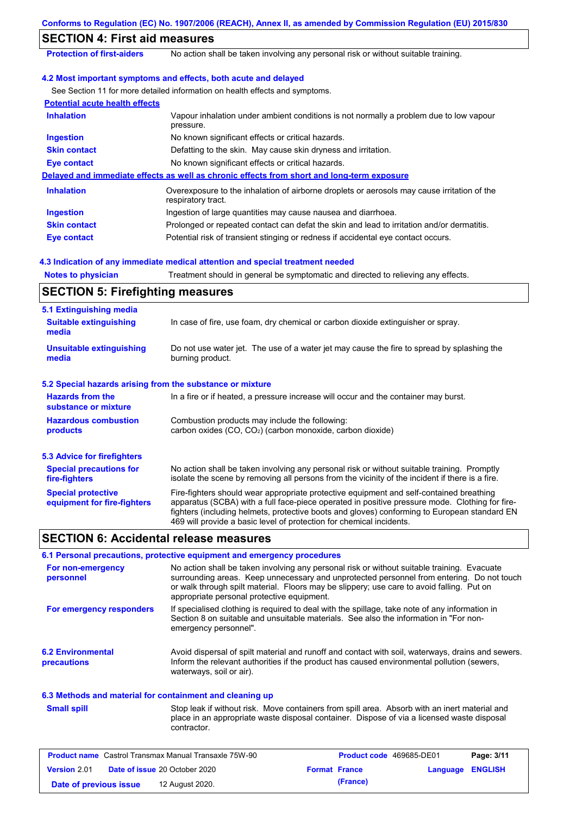|                                                           | Conforms to Regulation (EC) No. 1907/2006 (REACH), Annex II, as amended by Commission Regulation (EU) 2015/830                                                                                                                                                                                                                                                    |
|-----------------------------------------------------------|-------------------------------------------------------------------------------------------------------------------------------------------------------------------------------------------------------------------------------------------------------------------------------------------------------------------------------------------------------------------|
| <b>SECTION 4: First aid measures</b>                      |                                                                                                                                                                                                                                                                                                                                                                   |
| <b>Protection of first-aiders</b>                         | No action shall be taken involving any personal risk or without suitable training.                                                                                                                                                                                                                                                                                |
|                                                           | 4.2 Most important symptoms and effects, both acute and delayed                                                                                                                                                                                                                                                                                                   |
|                                                           | See Section 11 for more detailed information on health effects and symptoms.                                                                                                                                                                                                                                                                                      |
| <b>Potential acute health effects</b>                     |                                                                                                                                                                                                                                                                                                                                                                   |
| <b>Inhalation</b>                                         | Vapour inhalation under ambient conditions is not normally a problem due to low vapour<br>pressure.                                                                                                                                                                                                                                                               |
| <b>Ingestion</b>                                          | No known significant effects or critical hazards.                                                                                                                                                                                                                                                                                                                 |
| <b>Skin contact</b>                                       | Defatting to the skin. May cause skin dryness and irritation.                                                                                                                                                                                                                                                                                                     |
| <b>Eye contact</b>                                        | No known significant effects or critical hazards.                                                                                                                                                                                                                                                                                                                 |
|                                                           | Delayed and immediate effects as well as chronic effects from short and long-term exposure                                                                                                                                                                                                                                                                        |
| <b>Inhalation</b>                                         | Overexposure to the inhalation of airborne droplets or aerosols may cause irritation of the<br>respiratory tract.                                                                                                                                                                                                                                                 |
| <b>Ingestion</b>                                          | Ingestion of large quantities may cause nausea and diarrhoea.                                                                                                                                                                                                                                                                                                     |
| <b>Skin contact</b>                                       | Prolonged or repeated contact can defat the skin and lead to irritation and/or dermatitis.                                                                                                                                                                                                                                                                        |
| <b>Eye contact</b>                                        | Potential risk of transient stinging or redness if accidental eye contact occurs.                                                                                                                                                                                                                                                                                 |
|                                                           |                                                                                                                                                                                                                                                                                                                                                                   |
|                                                           | 4.3 Indication of any immediate medical attention and special treatment needed                                                                                                                                                                                                                                                                                    |
| <b>Notes to physician</b>                                 | Treatment should in general be symptomatic and directed to relieving any effects.                                                                                                                                                                                                                                                                                 |
| <b>SECTION 5: Firefighting measures</b>                   |                                                                                                                                                                                                                                                                                                                                                                   |
| 5.1 Extinguishing media                                   |                                                                                                                                                                                                                                                                                                                                                                   |
| <b>Suitable extinguishing</b><br>media                    | In case of fire, use foam, dry chemical or carbon dioxide extinguisher or spray.                                                                                                                                                                                                                                                                                  |
| <b>Unsuitable extinguishing</b><br>media                  | Do not use water jet. The use of a water jet may cause the fire to spread by splashing the<br>burning product.                                                                                                                                                                                                                                                    |
| 5.2 Special hazards arising from the substance or mixture |                                                                                                                                                                                                                                                                                                                                                                   |
| <b>Hazards from the</b><br>substance or mixture           | In a fire or if heated, a pressure increase will occur and the container may burst.                                                                                                                                                                                                                                                                               |
| <b>Hazardous combustion</b><br>products                   | Combustion products may include the following:<br>carbon oxides (CO, CO <sub>2</sub> ) (carbon monoxide, carbon dioxide)                                                                                                                                                                                                                                          |
| <b>5.3 Advice for firefighters</b>                        |                                                                                                                                                                                                                                                                                                                                                                   |
| <b>Special precautions for</b><br>fire-fighters           | No action shall be taken involving any personal risk or without suitable training. Promptly<br>isolate the scene by removing all persons from the vicinity of the incident if there is a fire.                                                                                                                                                                    |
| <b>Special protective</b><br>equipment for fire-fighters  | Fire-fighters should wear appropriate protective equipment and self-contained breathing<br>apparatus (SCBA) with a full face-piece operated in positive pressure mode. Clothing for fire-<br>fighters (including helmets, protective boots and gloves) conforming to European standard EN<br>469 will provide a basic level of protection for chemical incidents. |
| <b>SECTION 6: Accidental release measures</b>             |                                                                                                                                                                                                                                                                                                                                                                   |
|                                                           | 6.1 Personal precautions, protective equipment and emergency procedures                                                                                                                                                                                                                                                                                           |
| For non-emergency<br>personnel                            | No action shall be taken involving any personal risk or without suitable training. Evacuate<br>surrounding areas. Keep unnecessary and unprotected personnel from entering. Do not touch<br>or walk through spilt material. Floors may be slippery; use care to avoid falling. Put on<br>appropriate personal protective equipment.                               |
| For emergency responders                                  | If specialised clothing is required to deal with the spillage, take note of any information in<br>Section 8 on suitable and unsuitable materials. See also the information in "For non-<br>emergency personnel".                                                                                                                                                  |
| <b>6.2 Environmental</b><br>precautions                   | Avoid dispersal of spilt material and runoff and contact with soil, waterways, drains and sewers.<br>Inform the relevant authorities if the product has caused environmental pollution (sewers,<br>waterways, soil or air).                                                                                                                                       |

## **6.3 Methods and material for containment and cleaning up**

**Small spill**

Stop leak if without risk. Move containers from spill area. Absorb with an inert material and place in an appropriate waste disposal container. Dispose of via a licensed waste disposal contractor.

| <b>Product name</b> Castrol Transmax Manual Transaxle 75W-90 |  |                                      | <b>Product code</b> 469685-DE01 |          | Page: 3/11              |  |
|--------------------------------------------------------------|--|--------------------------------------|---------------------------------|----------|-------------------------|--|
| <b>Version 2.01</b>                                          |  | <b>Date of issue 20 October 2020</b> | <b>Format France</b>            |          | <b>Language ENGLISH</b> |  |
| Date of previous issue                                       |  | 12 August 2020.                      |                                 | (France) |                         |  |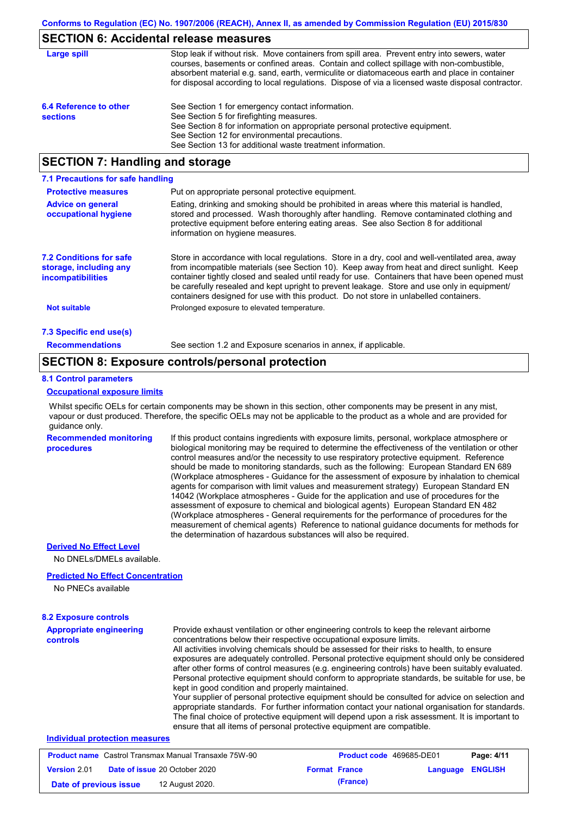## **SECTION 6: Accidental release measures**

| Large spill                               | Stop leak if without risk. Move containers from spill area. Prevent entry into sewers, water<br>courses, basements or confined areas. Contain and collect spillage with non-combustible,<br>absorbent material e.g. sand, earth, vermiculite or diatomaceous earth and place in container<br>for disposal according to local regulations. Dispose of via a licensed waste disposal contractor. |
|-------------------------------------------|------------------------------------------------------------------------------------------------------------------------------------------------------------------------------------------------------------------------------------------------------------------------------------------------------------------------------------------------------------------------------------------------|
| 6.4 Reference to other<br><b>sections</b> | See Section 1 for emergency contact information.<br>See Section 5 for firefighting measures.<br>See Section 8 for information on appropriate personal protective equipment.<br>See Section 12 for environmental precautions.<br>See Section 13 for additional waste treatment information.                                                                                                     |

## **SECTION 7: Handling and storage**

| 7.1 Precautions for safe handling                                                    |                                                                                                                                                                                                                                                                                                                                                                                                                                                                                          |
|--------------------------------------------------------------------------------------|------------------------------------------------------------------------------------------------------------------------------------------------------------------------------------------------------------------------------------------------------------------------------------------------------------------------------------------------------------------------------------------------------------------------------------------------------------------------------------------|
| <b>Protective measures</b>                                                           | Put on appropriate personal protective equipment.                                                                                                                                                                                                                                                                                                                                                                                                                                        |
| <b>Advice on general</b><br>occupational hygiene                                     | Eating, drinking and smoking should be prohibited in areas where this material is handled.<br>stored and processed. Wash thoroughly after handling. Remove contaminated clothing and<br>protective equipment before entering eating areas. See also Section 8 for additional<br>information on hygiene measures.                                                                                                                                                                         |
| <b>7.2 Conditions for safe</b><br>storage, including any<br><b>incompatibilities</b> | Store in accordance with local regulations. Store in a dry, cool and well-ventilated area, away<br>from incompatible materials (see Section 10). Keep away from heat and direct sunlight. Keep<br>container tightly closed and sealed until ready for use. Containers that have been opened must<br>be carefully resealed and kept upright to prevent leakage. Store and use only in equipment/<br>containers designed for use with this product. Do not store in unlabelled containers. |
| <b>Not suitable</b>                                                                  | Prolonged exposure to elevated temperature.                                                                                                                                                                                                                                                                                                                                                                                                                                              |
| 7.3 Specific end use(s)                                                              |                                                                                                                                                                                                                                                                                                                                                                                                                                                                                          |
| <b>Recommendations</b>                                                               | See section 1.2 and Exposure scenarios in annex, if applicable.                                                                                                                                                                                                                                                                                                                                                                                                                          |

## **SECTION 8: Exposure controls/personal protection**

#### **8.1 Control parameters**

#### **Occupational exposure limits**

Whilst specific OELs for certain components may be shown in this section, other components may be present in any mist, vapour or dust produced. Therefore, the specific OELs may not be applicable to the product as a whole and are provided for guidance only.

**Recommended monitoring procedures** If this product contains ingredients with exposure limits, personal, workplace atmosphere or biological monitoring may be required to determine the effectiveness of the ventilation or other control measures and/or the necessity to use respiratory protective equipment. Reference should be made to monitoring standards, such as the following: European Standard EN 689 (Workplace atmospheres - Guidance for the assessment of exposure by inhalation to chemical agents for comparison with limit values and measurement strategy) European Standard EN 14042 (Workplace atmospheres - Guide for the application and use of procedures for the assessment of exposure to chemical and biological agents) European Standard EN 482 (Workplace atmospheres - General requirements for the performance of procedures for the measurement of chemical agents) Reference to national guidance documents for methods for the determination of hazardous substances will also be required.

### **Derived No Effect Level**

No DNELs/DMELs available.

#### **Predicted No Effect Concentration**

No PNECs available

| <b>8.2 Exposure controls</b>                                 |                                                 |                                                                                                                                                                                                                                                                                                                                                                                                                                                                                                                                                                                                                                                                                                                                                                                                                                                                                                                                                      |                                 |            |  |
|--------------------------------------------------------------|-------------------------------------------------|------------------------------------------------------------------------------------------------------------------------------------------------------------------------------------------------------------------------------------------------------------------------------------------------------------------------------------------------------------------------------------------------------------------------------------------------------------------------------------------------------------------------------------------------------------------------------------------------------------------------------------------------------------------------------------------------------------------------------------------------------------------------------------------------------------------------------------------------------------------------------------------------------------------------------------------------------|---------------------------------|------------|--|
| <b>Appropriate engineering</b><br>controls                   | kept in good condition and properly maintained. | Provide exhaust ventilation or other engineering controls to keep the relevant airborne<br>concentrations below their respective occupational exposure limits.<br>All activities involving chemicals should be assessed for their risks to health, to ensure<br>exposures are adequately controlled. Personal protective equipment should only be considered<br>after other forms of control measures (e.g. engineering controls) have been suitably evaluated.<br>Personal protective equipment should conform to appropriate standards, be suitable for use, be<br>Your supplier of personal protective equipment should be consulted for advice on selection and<br>appropriate standards. For further information contact your national organisation for standards.<br>The final choice of protective equipment will depend upon a risk assessment. It is important to<br>ensure that all items of personal protective equipment are compatible. |                                 |            |  |
| Individual protection measures                               |                                                 |                                                                                                                                                                                                                                                                                                                                                                                                                                                                                                                                                                                                                                                                                                                                                                                                                                                                                                                                                      |                                 |            |  |
| <b>Product name</b> Castrol Transmax Manual Transaxle 75W-90 |                                                 |                                                                                                                                                                                                                                                                                                                                                                                                                                                                                                                                                                                                                                                                                                                                                                                                                                                                                                                                                      | <b>Product code</b> 469685-DE01 | Page: 4/11 |  |

| <b>Product name</b> Castrol Fransmax Manual Fransaxle 75W-90 |  | <b>Product code</b> 469685-DE01      |                      | Page: 4/11       |  |
|--------------------------------------------------------------|--|--------------------------------------|----------------------|------------------|--|
| <b>Version 2.01</b>                                          |  | <b>Date of issue 20 October 2020</b> | <b>Format France</b> | Language ENGLISH |  |
| Date of previous issue                                       |  | 12 August 2020.                      | (France)             |                  |  |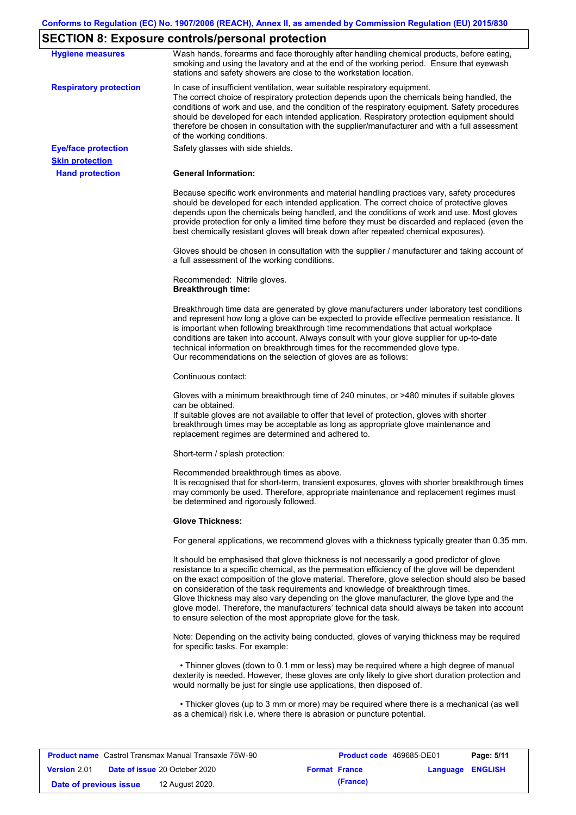# **SECTION 8: Exposure controls/personal protection**

| <b>Hygiene measures</b>       | Wash hands, forearms and face thoroughly after handling chemical products, before eating,<br>smoking and using the lavatory and at the end of the working period. Ensure that eyewash<br>stations and safety showers are close to the workstation location.                                                                                                                                                                                                                                                                                                                                                                                       |
|-------------------------------|---------------------------------------------------------------------------------------------------------------------------------------------------------------------------------------------------------------------------------------------------------------------------------------------------------------------------------------------------------------------------------------------------------------------------------------------------------------------------------------------------------------------------------------------------------------------------------------------------------------------------------------------------|
| <b>Respiratory protection</b> | In case of insufficient ventilation, wear suitable respiratory equipment.<br>The correct choice of respiratory protection depends upon the chemicals being handled, the<br>conditions of work and use, and the condition of the respiratory equipment. Safety procedures<br>should be developed for each intended application. Respiratory protection equipment should<br>therefore be chosen in consultation with the supplier/manufacturer and with a full assessment<br>of the working conditions.                                                                                                                                             |
| <b>Eye/face protection</b>    | Safety glasses with side shields.                                                                                                                                                                                                                                                                                                                                                                                                                                                                                                                                                                                                                 |
| <b>Skin protection</b>        | <b>General Information:</b>                                                                                                                                                                                                                                                                                                                                                                                                                                                                                                                                                                                                                       |
| <b>Hand protection</b>        |                                                                                                                                                                                                                                                                                                                                                                                                                                                                                                                                                                                                                                                   |
|                               | Because specific work environments and material handling practices vary, safety procedures<br>should be developed for each intended application. The correct choice of protective gloves<br>depends upon the chemicals being handled, and the conditions of work and use. Most gloves<br>provide protection for only a limited time before they must be discarded and replaced (even the<br>best chemically resistant gloves will break down after repeated chemical exposures).                                                                                                                                                                  |
|                               | Gloves should be chosen in consultation with the supplier / manufacturer and taking account of<br>a full assessment of the working conditions.                                                                                                                                                                                                                                                                                                                                                                                                                                                                                                    |
|                               | Recommended: Nitrile gloves.<br><b>Breakthrough time:</b>                                                                                                                                                                                                                                                                                                                                                                                                                                                                                                                                                                                         |
|                               | Breakthrough time data are generated by glove manufacturers under laboratory test conditions<br>and represent how long a glove can be expected to provide effective permeation resistance. It<br>is important when following breakthrough time recommendations that actual workplace<br>conditions are taken into account. Always consult with your glove supplier for up-to-date<br>technical information on breakthrough times for the recommended glove type.<br>Our recommendations on the selection of gloves are as follows:                                                                                                                |
|                               | Continuous contact:                                                                                                                                                                                                                                                                                                                                                                                                                                                                                                                                                                                                                               |
|                               | Gloves with a minimum breakthrough time of 240 minutes, or >480 minutes if suitable gloves<br>can be obtained.<br>If suitable gloves are not available to offer that level of protection, gloves with shorter<br>breakthrough times may be acceptable as long as appropriate glove maintenance and<br>replacement regimes are determined and adhered to.                                                                                                                                                                                                                                                                                          |
|                               | Short-term / splash protection:                                                                                                                                                                                                                                                                                                                                                                                                                                                                                                                                                                                                                   |
|                               | Recommended breakthrough times as above.<br>It is recognised that for short-term, transient exposures, gloves with shorter breakthrough times<br>may commonly be used. Therefore, appropriate maintenance and replacement regimes must<br>be determined and rigorously followed.                                                                                                                                                                                                                                                                                                                                                                  |
|                               | <b>Glove Thickness:</b>                                                                                                                                                                                                                                                                                                                                                                                                                                                                                                                                                                                                                           |
|                               | For general applications, we recommend gloves with a thickness typically greater than 0.35 mm.                                                                                                                                                                                                                                                                                                                                                                                                                                                                                                                                                    |
|                               | It should be emphasised that glove thickness is not necessarily a good predictor of glove<br>resistance to a specific chemical, as the permeation efficiency of the glove will be dependent<br>on the exact composition of the glove material. Therefore, glove selection should also be based<br>on consideration of the task requirements and knowledge of breakthrough times.<br>Glove thickness may also vary depending on the glove manufacturer, the glove type and the<br>glove model. Therefore, the manufacturers' technical data should always be taken into account<br>to ensure selection of the most appropriate glove for the task. |
|                               | Note: Depending on the activity being conducted, gloves of varying thickness may be required<br>for specific tasks. For example:                                                                                                                                                                                                                                                                                                                                                                                                                                                                                                                  |
|                               | • Thinner gloves (down to 0.1 mm or less) may be required where a high degree of manual<br>dexterity is needed. However, these gloves are only likely to give short duration protection and<br>would normally be just for single use applications, then disposed of.                                                                                                                                                                                                                                                                                                                                                                              |
|                               | • Thicker gloves (up to 3 mm or more) may be required where there is a mechanical (as well<br>as a chemical) risk i.e. where there is abrasion or puncture potential.                                                                                                                                                                                                                                                                                                                                                                                                                                                                             |

| <b>Product name</b> Castrol Transmax Manual Transaxle 75W-90 |  | <b>Product code</b> 469685-DE01      |                      | Page: 5/11 |                         |  |
|--------------------------------------------------------------|--|--------------------------------------|----------------------|------------|-------------------------|--|
| <b>Version 2.01</b>                                          |  | <b>Date of issue 20 October 2020</b> | <b>Format France</b> |            | <b>Language ENGLISH</b> |  |
| Date of previous issue                                       |  | 12 August 2020.                      |                      | (France)   |                         |  |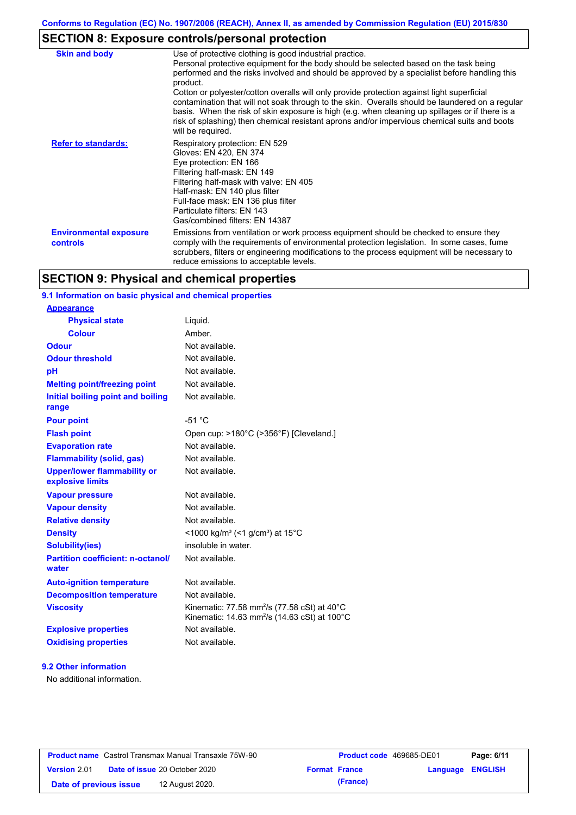# **SECTION 8: Exposure controls/personal protection**

| <b>Skin and body</b>                      | Use of protective clothing is good industrial practice.<br>Personal protective equipment for the body should be selected based on the task being<br>performed and the risks involved and should be approved by a specialist before handling this<br>product.<br>Cotton or polyester/cotton overalls will only provide protection against light superficial<br>contamination that will not soak through to the skin. Overalls should be laundered on a regular<br>basis. When the risk of skin exposure is high (e.g. when cleaning up spillages or if there is a<br>risk of splashing) then chemical resistant aprons and/or impervious chemical suits and boots<br>will be required. |
|-------------------------------------------|---------------------------------------------------------------------------------------------------------------------------------------------------------------------------------------------------------------------------------------------------------------------------------------------------------------------------------------------------------------------------------------------------------------------------------------------------------------------------------------------------------------------------------------------------------------------------------------------------------------------------------------------------------------------------------------|
| <b>Refer to standards:</b>                | Respiratory protection: EN 529<br>Gloves: EN 420, EN 374<br>Eye protection: EN 166<br>Filtering half-mask: EN 149<br>Filtering half-mask with valve: EN 405<br>Half-mask: EN 140 plus filter<br>Full-face mask: EN 136 plus filter<br>Particulate filters: EN 143<br>Gas/combined filters: EN 14387                                                                                                                                                                                                                                                                                                                                                                                   |
| <b>Environmental exposure</b><br>controls | Emissions from ventilation or work process equipment should be checked to ensure they<br>comply with the requirements of environmental protection legislation. In some cases, fume<br>scrubbers, filters or engineering modifications to the process equipment will be necessary to<br>reduce emissions to acceptable levels.                                                                                                                                                                                                                                                                                                                                                         |

## **SECTION 9: Physical and chemical properties**

## **9.1 Information on basic physical and chemical properties**

| <b>Appearance</b>                                      |                                                                                                                     |
|--------------------------------------------------------|---------------------------------------------------------------------------------------------------------------------|
| <b>Physical state</b>                                  | Liquid.                                                                                                             |
| <b>Colour</b>                                          | Amber                                                                                                               |
| Odour                                                  | Not available.                                                                                                      |
| <b>Odour threshold</b>                                 | Not available.                                                                                                      |
| pH                                                     | Not available.                                                                                                      |
| <b>Melting point/freezing point</b>                    | Not available.                                                                                                      |
| Initial boiling point and boiling<br>range             | Not available.                                                                                                      |
| <b>Pour point</b>                                      | $-51 °C$                                                                                                            |
| <b>Flash point</b>                                     | Open cup: >180°C (>356°F) [Cleveland.]                                                                              |
| <b>Evaporation rate</b>                                | Not available.                                                                                                      |
| <b>Flammability (solid, gas)</b>                       | Not available.                                                                                                      |
| <b>Upper/lower flammability or</b><br>explosive limits | Not available.                                                                                                      |
| <b>Vapour pressure</b>                                 | Not available.                                                                                                      |
| <b>Vapour density</b>                                  | Not available.                                                                                                      |
| <b>Relative density</b>                                | Not available.                                                                                                      |
| <b>Density</b>                                         | <1000 kg/m <sup>3</sup> (<1 g/cm <sup>3</sup> ) at 15 <sup>°</sup> C                                                |
| <b>Solubility(ies)</b>                                 | insoluble in water.                                                                                                 |
| <b>Partition coefficient: n-octanol/</b><br>water      | Not available.                                                                                                      |
| <b>Auto-ignition temperature</b>                       | Not available.                                                                                                      |
| <b>Decomposition temperature</b>                       | Not available.                                                                                                      |
| <b>Viscosity</b>                                       | Kinematic: 77.58 mm <sup>2</sup> /s (77.58 cSt) at 40°C<br>Kinematic: 14.63 mm <sup>2</sup> /s (14.63 cSt) at 100°C |
| <b>Explosive properties</b>                            | Not available.                                                                                                      |
| <b>Oxidising properties</b>                            | Not available.                                                                                                      |
|                                                        |                                                                                                                     |

#### **9.2 Other information**

No additional information.

| <b>Product name</b> Castrol Transmax Manual Transaxle 75W-90 |  | <b>Product code</b> 469685-DE01      |  | Page: 6/11           |                         |  |
|--------------------------------------------------------------|--|--------------------------------------|--|----------------------|-------------------------|--|
| <b>Version 2.01</b>                                          |  | <b>Date of issue 20 October 2020</b> |  | <b>Format France</b> | <b>Language ENGLISH</b> |  |
| Date of previous issue                                       |  | 12 August 2020.                      |  | (France)             |                         |  |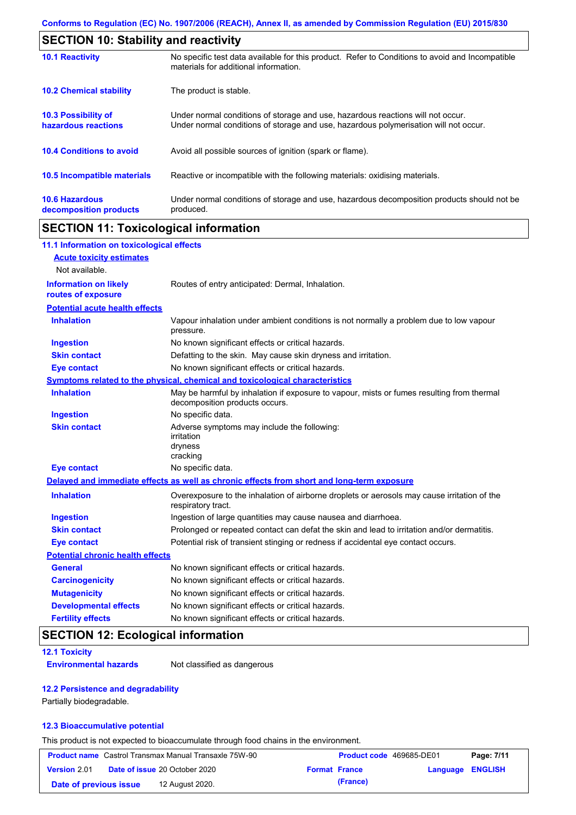| <b>SECTION 10: Stability and reactivity</b>       |                                                                                                                                                                         |  |  |  |
|---------------------------------------------------|-------------------------------------------------------------------------------------------------------------------------------------------------------------------------|--|--|--|
| <b>10.1 Reactivity</b>                            | No specific test data available for this product. Refer to Conditions to avoid and Incompatible<br>materials for additional information.                                |  |  |  |
| <b>10.2 Chemical stability</b>                    | The product is stable.                                                                                                                                                  |  |  |  |
| <b>10.3 Possibility of</b><br>hazardous reactions | Under normal conditions of storage and use, hazardous reactions will not occur.<br>Under normal conditions of storage and use, hazardous polymerisation will not occur. |  |  |  |
| <b>10.4 Conditions to avoid</b>                   | Avoid all possible sources of ignition (spark or flame).                                                                                                                |  |  |  |
| <b>10.5 Incompatible materials</b>                | Reactive or incompatible with the following materials: oxidising materials.                                                                                             |  |  |  |
| <b>10.6 Hazardous</b><br>decomposition products   | Under normal conditions of storage and use, hazardous decomposition products should not be<br>produced.                                                                 |  |  |  |

## **SECTION 11: Toxicological information**

| 11.1 Information on toxicological effects          |                                                                                                                             |
|----------------------------------------------------|-----------------------------------------------------------------------------------------------------------------------------|
| <b>Acute toxicity estimates</b>                    |                                                                                                                             |
| Not available.                                     |                                                                                                                             |
| <b>Information on likely</b><br>routes of exposure | Routes of entry anticipated: Dermal, Inhalation.                                                                            |
| <b>Potential acute health effects</b>              |                                                                                                                             |
| <b>Inhalation</b>                                  | Vapour inhalation under ambient conditions is not normally a problem due to low vapour<br>pressure.                         |
| <b>Ingestion</b>                                   | No known significant effects or critical hazards.                                                                           |
| <b>Skin contact</b>                                | Defatting to the skin. May cause skin dryness and irritation.                                                               |
| <b>Eye contact</b>                                 | No known significant effects or critical hazards.                                                                           |
|                                                    | Symptoms related to the physical, chemical and toxicological characteristics                                                |
| <b>Inhalation</b>                                  | May be harmful by inhalation if exposure to vapour, mists or fumes resulting from thermal<br>decomposition products occurs. |
| <b>Ingestion</b>                                   | No specific data.                                                                                                           |
| <b>Skin contact</b>                                | Adverse symptoms may include the following:<br>irritation<br>dryness<br>cracking                                            |
| <b>Eye contact</b>                                 | No specific data.                                                                                                           |
|                                                    | Delayed and immediate effects as well as chronic effects from short and long-term exposure                                  |
| <b>Inhalation</b>                                  | Overexposure to the inhalation of airborne droplets or aerosols may cause irritation of the<br>respiratory tract.           |
| <b>Ingestion</b>                                   | Ingestion of large quantities may cause nausea and diarrhoea.                                                               |
| <b>Skin contact</b>                                | Prolonged or repeated contact can defat the skin and lead to irritation and/or dermatitis.                                  |
| <b>Eye contact</b>                                 | Potential risk of transient stinging or redness if accidental eye contact occurs.                                           |
| <b>Potential chronic health effects</b>            |                                                                                                                             |
| <b>General</b>                                     | No known significant effects or critical hazards.                                                                           |
| <b>Carcinogenicity</b>                             | No known significant effects or critical hazards.                                                                           |
| <b>Mutagenicity</b>                                | No known significant effects or critical hazards.                                                                           |
| <b>Developmental effects</b>                       | No known significant effects or critical hazards.                                                                           |
| <b>Fertility effects</b>                           | No known significant effects or critical hazards.                                                                           |

## **SECTION 12: Ecological information**

#### **12.1 Toxicity**

**Environmental hazards** Not classified as dangerous

#### **12.2 Persistence and degradability**

Partially biodegradable.

#### **12.3 Bioaccumulative potential**

This product is not expected to bioaccumulate through food chains in the environment.

| <b>Product name</b> Castrol Transmax Manual Transaxle 75W-90 |  | <b>Product code</b> 469685-DE01      |                      | Page: 7/11 |                         |  |
|--------------------------------------------------------------|--|--------------------------------------|----------------------|------------|-------------------------|--|
| <b>Version 2.01</b>                                          |  | <b>Date of issue 20 October 2020</b> | <b>Format France</b> |            | <b>Language ENGLISH</b> |  |
| Date of previous issue                                       |  | 12 August 2020.                      |                      | (France)   |                         |  |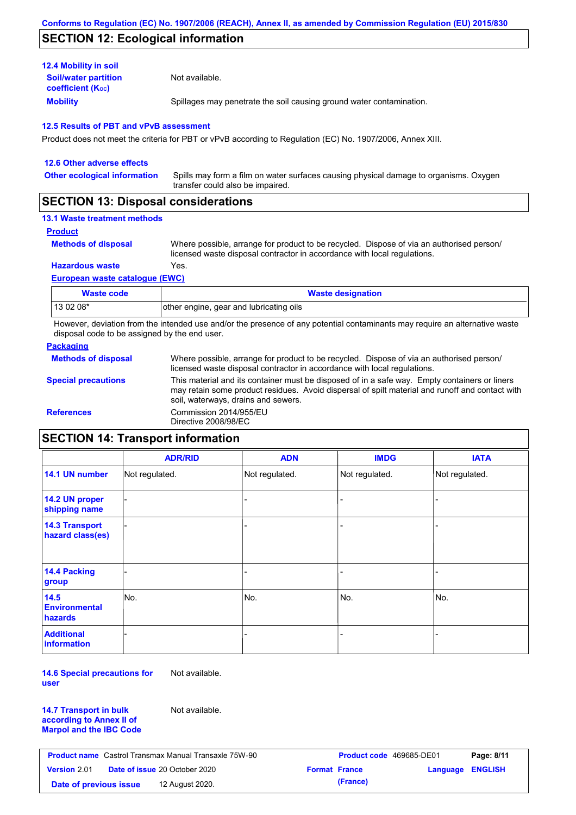## **SECTION 12: Ecological information**

| <b>12.4 Mobility in soil</b>                            |                                                                      |
|---------------------------------------------------------|----------------------------------------------------------------------|
| <b>Soil/water partition</b><br><b>coefficient (Koc)</b> | Not available.                                                       |
| <b>Mobility</b>                                         | Spillages may penetrate the soil causing ground water contamination. |

#### **12.5 Results of PBT and vPvB assessment**

Product does not meet the criteria for PBT or vPvB according to Regulation (EC) No. 1907/2006, Annex XIII.

| 12.6 Other adverse effects          |                                                                                                                           |
|-------------------------------------|---------------------------------------------------------------------------------------------------------------------------|
| <b>Other ecological information</b> | Spills may form a film on water surfaces causing physical damage to organisms. Oxygen<br>transfer could also be impaired. |
|                                     |                                                                                                                           |

## **SECTION 13: Disposal considerations**

## **13.1 Waste treatment methods**

**Product**

```
Methods of disposal
```
Where possible, arrange for product to be recycled. Dispose of via an authorised person/ licensed waste disposal contractor in accordance with local regulations.

**Hazardous waste** Yes.

#### **European waste catalogue (EWC)**

| Waste code | <b>Waste designation</b>                |
|------------|-----------------------------------------|
| 13 02 08*  | other engine, gear and lubricating oils |

However, deviation from the intended use and/or the presence of any potential contaminants may require an alternative waste disposal code to be assigned by the end user.

### **Packaging**

| <b>Methods of disposal</b> | Where possible, arrange for product to be recycled. Dispose of via an authorised person/<br>licensed waste disposal contractor in accordance with local regulations.                                                                    |
|----------------------------|-----------------------------------------------------------------------------------------------------------------------------------------------------------------------------------------------------------------------------------------|
| <b>Special precautions</b> | This material and its container must be disposed of in a safe way. Empty containers or liners<br>may retain some product residues. Avoid dispersal of spilt material and runoff and contact with<br>soil, waterways, drains and sewers. |
| <b>References</b>          | Commission 2014/955/EU<br>Directive 2008/98/EC                                                                                                                                                                                          |

# **SECTION 14: Transport information**

|                                           | <b>ADR/RID</b> | <b>ADN</b>     | <b>IMDG</b>    | <b>IATA</b>    |
|-------------------------------------------|----------------|----------------|----------------|----------------|
| 14.1 UN number                            | Not regulated. | Not regulated. | Not regulated. | Not regulated. |
| 14.2 UN proper<br>shipping name           |                |                | -              |                |
| <b>14.3 Transport</b><br>hazard class(es) |                |                |                |                |
| 14.4 Packing<br>group                     |                |                |                |                |
| 14.5<br><b>Environmental</b><br>hazards   | No.            | No.            | No.            | No.            |
| <b>Additional</b><br><b>information</b>   |                |                |                |                |

**14.6 Special precautions for user** Not available.

**14.7 Transport in bulk according to Annex II of Marpol and the IBC Code** Not available.

| <b>Product name</b> Castrol Transmax Manual Transaxle 75W-90 |  |                                      | <b>Product code</b> 469685-DE01 |          | Page: 8/11              |  |
|--------------------------------------------------------------|--|--------------------------------------|---------------------------------|----------|-------------------------|--|
| <b>Version 2.01</b>                                          |  | <b>Date of issue 20 October 2020</b> | <b>Format France</b>            |          | <b>Language ENGLISH</b> |  |
| Date of previous issue                                       |  | 12 August 2020.                      |                                 | (France) |                         |  |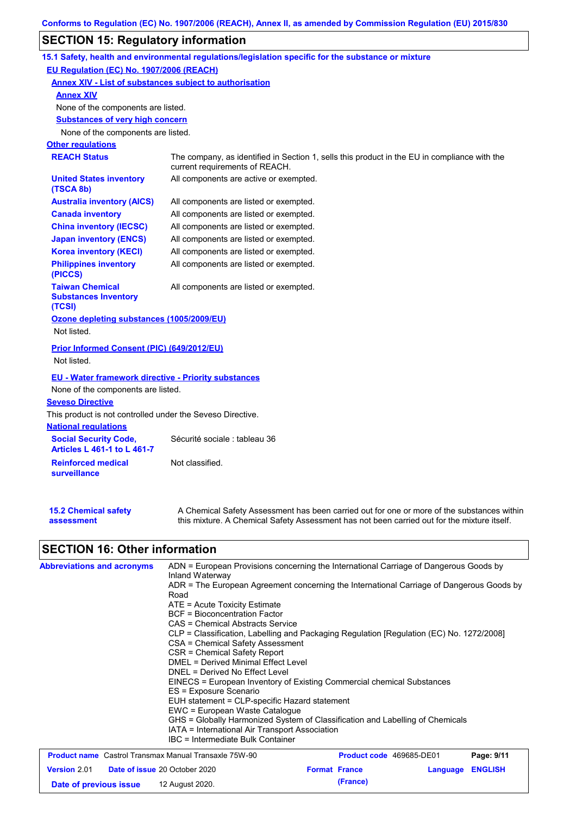## **SECTION 15: Regulatory information**

|                                                                    | 15.1 Safety, health and environmental regulations/legislation specific for the substance or mixture                                                                                       |
|--------------------------------------------------------------------|-------------------------------------------------------------------------------------------------------------------------------------------------------------------------------------------|
| EU Regulation (EC) No. 1907/2006 (REACH)                           |                                                                                                                                                                                           |
|                                                                    | <b>Annex XIV - List of substances subject to authorisation</b>                                                                                                                            |
| <b>Annex XIV</b>                                                   |                                                                                                                                                                                           |
| None of the components are listed.                                 |                                                                                                                                                                                           |
| <b>Substances of very high concern</b>                             |                                                                                                                                                                                           |
| None of the components are listed.                                 |                                                                                                                                                                                           |
| <b>Other regulations</b>                                           |                                                                                                                                                                                           |
| <b>REACH Status</b>                                                | The company, as identified in Section 1, sells this product in the EU in compliance with the<br>current requirements of REACH.                                                            |
| <b>United States inventory</b><br>(TSCA 8b)                        | All components are active or exempted.                                                                                                                                                    |
| <b>Australia inventory (AICS)</b>                                  | All components are listed or exempted.                                                                                                                                                    |
| <b>Canada inventory</b>                                            | All components are listed or exempted.                                                                                                                                                    |
| <b>China inventory (IECSC)</b>                                     | All components are listed or exempted.                                                                                                                                                    |
| <b>Japan inventory (ENCS)</b>                                      | All components are listed or exempted.                                                                                                                                                    |
| <b>Korea inventory (KECI)</b>                                      | All components are listed or exempted.                                                                                                                                                    |
| <b>Philippines inventory</b><br>(PICCS)                            | All components are listed or exempted.                                                                                                                                                    |
| <b>Taiwan Chemical</b><br><b>Substances Inventory</b><br>(TCSI)    | All components are listed or exempted.                                                                                                                                                    |
| Ozone depleting substances (1005/2009/EU)<br>Not listed.           |                                                                                                                                                                                           |
| Prior Informed Consent (PIC) (649/2012/EU)<br>Not listed.          |                                                                                                                                                                                           |
| <b>EU - Water framework directive - Priority substances</b>        |                                                                                                                                                                                           |
| None of the components are listed.                                 |                                                                                                                                                                                           |
| <b>Seveso Directive</b>                                            |                                                                                                                                                                                           |
| This product is not controlled under the Seveso Directive.         |                                                                                                                                                                                           |
| <b>National regulations</b>                                        |                                                                                                                                                                                           |
| <b>Social Security Code,</b><br><b>Articles L 461-1 to L 461-7</b> | Sécurité sociale : tableau 36                                                                                                                                                             |
| <b>Reinforced medical</b><br><b>surveillance</b>                   | Not classified.                                                                                                                                                                           |
| <b>15.2 Chemical safety</b><br>assessment                          | A Chemical Safety Assessment has been carried out for one or more of the substances within<br>this mixture. A Chemical Safety Assessment has not been carried out for the mixture itself. |

# **SECTION 16: Other information**

| <b>Abbreviations and acronyms</b>                            | ADN = European Provisions concerning the International Carriage of Dangerous Goods by<br>Inland Waterway                                                                                                                                                                                                                                                                      |                                                                                          |          |                |  |  |
|--------------------------------------------------------------|-------------------------------------------------------------------------------------------------------------------------------------------------------------------------------------------------------------------------------------------------------------------------------------------------------------------------------------------------------------------------------|------------------------------------------------------------------------------------------|----------|----------------|--|--|
|                                                              | Road                                                                                                                                                                                                                                                                                                                                                                          | ADR = The European Agreement concerning the International Carriage of Dangerous Goods by |          |                |  |  |
|                                                              | $ATE = Acute Toxicity Estimate$<br><b>BCF</b> = Bioconcentration Factor                                                                                                                                                                                                                                                                                                       |                                                                                          |          |                |  |  |
|                                                              |                                                                                                                                                                                                                                                                                                                                                                               |                                                                                          |          |                |  |  |
|                                                              | CAS = Chemical Abstracts Service                                                                                                                                                                                                                                                                                                                                              |                                                                                          |          |                |  |  |
|                                                              | CLP = Classification, Labelling and Packaging Regulation [Regulation (EC) No. 1272/2008]<br>CSA = Chemical Safety Assessment                                                                                                                                                                                                                                                  |                                                                                          |          |                |  |  |
|                                                              | CSR = Chemical Safety Report<br>DMEL = Derived Minimal Effect Level<br>DNEL = Derived No Effect Level<br>EINECS = European Inventory of Existing Commercial chemical Substances<br>ES = Exposure Scenario<br>EUH statement = CLP-specific Hazard statement<br>EWC = European Waste Catalogue<br>GHS = Globally Harmonized System of Classification and Labelling of Chemicals |                                                                                          |          |                |  |  |
|                                                              |                                                                                                                                                                                                                                                                                                                                                                               |                                                                                          |          |                |  |  |
|                                                              |                                                                                                                                                                                                                                                                                                                                                                               |                                                                                          |          |                |  |  |
|                                                              |                                                                                                                                                                                                                                                                                                                                                                               |                                                                                          |          |                |  |  |
|                                                              |                                                                                                                                                                                                                                                                                                                                                                               |                                                                                          |          |                |  |  |
|                                                              |                                                                                                                                                                                                                                                                                                                                                                               |                                                                                          |          |                |  |  |
|                                                              |                                                                                                                                                                                                                                                                                                                                                                               |                                                                                          |          |                |  |  |
|                                                              |                                                                                                                                                                                                                                                                                                                                                                               |                                                                                          |          |                |  |  |
|                                                              | IATA = International Air Transport Association                                                                                                                                                                                                                                                                                                                                |                                                                                          |          |                |  |  |
|                                                              | IBC = Intermediate Bulk Container                                                                                                                                                                                                                                                                                                                                             |                                                                                          |          |                |  |  |
| <b>Product name</b> Castrol Transmax Manual Transaxle 75W-90 |                                                                                                                                                                                                                                                                                                                                                                               | Product code 469685-DE01                                                                 |          | Page: 9/11     |  |  |
| <b>Version 2.01</b>                                          | <b>Date of issue 20 October 2020</b>                                                                                                                                                                                                                                                                                                                                          | <b>Format France</b>                                                                     | Language | <b>ENGLISH</b> |  |  |

**Date of previous issue (France)** 12 August 2020.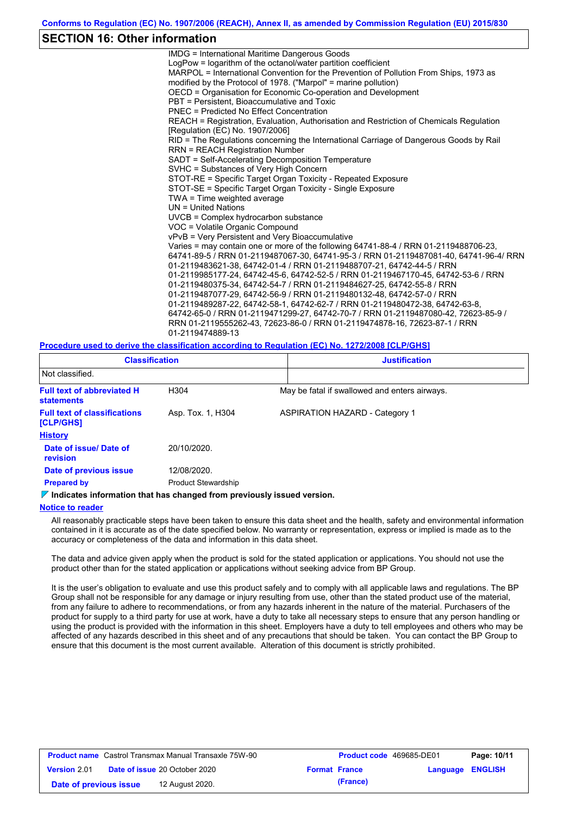## **SECTION 16: Other information**

IMDG = International Maritime Dangerous Goods LogPow = logarithm of the octanol/water partition coefficient MARPOL = International Convention for the Prevention of Pollution From Ships, 1973 as modified by the Protocol of 1978. ("Marpol" = marine pollution) OECD = Organisation for Economic Co-operation and Development PBT = Persistent, Bioaccumulative and Toxic PNEC = Predicted No Effect Concentration REACH = Registration, Evaluation, Authorisation and Restriction of Chemicals Regulation [Regulation (EC) No. 1907/2006] RID = The Regulations concerning the International Carriage of Dangerous Goods by Rail RRN = REACH Registration Number SADT = Self-Accelerating Decomposition Temperature SVHC = Substances of Very High Concern STOT-RE = Specific Target Organ Toxicity - Repeated Exposure STOT-SE = Specific Target Organ Toxicity - Single Exposure TWA = Time weighted average UN = United Nations UVCB = Complex hydrocarbon substance VOC = Volatile Organic Compound vPvB = Very Persistent and Very Bioaccumulative Varies = may contain one or more of the following 64741-88-4 / RRN 01-2119488706-23, 64741-89-5 / RRN 01-2119487067-30, 64741-95-3 / RRN 01-2119487081-40, 64741-96-4/ RRN 01-2119483621-38, 64742-01-4 / RRN 01-2119488707-21, 64742-44-5 / RRN 01-2119985177-24, 64742-45-6, 64742-52-5 / RRN 01-2119467170-45, 64742-53-6 / RRN 01-2119480375-34, 64742-54-7 / RRN 01-2119484627-25, 64742-55-8 / RRN 01-2119487077-29, 64742-56-9 / RRN 01-2119480132-48, 64742-57-0 / RRN 01-2119489287-22, 64742-58-1, 64742-62-7 / RRN 01-2119480472-38, 64742-63-8, 64742-65-0 / RRN 01-2119471299-27, 64742-70-7 / RRN 01-2119487080-42, 72623-85-9 / RRN 01-2119555262-43, 72623-86-0 / RRN 01-2119474878-16, 72623-87-1 / RRN 01-2119474889-13

**Procedure used to derive the classification according to Regulation (EC) No. 1272/2008 [CLP/GHS]**

| <b>Classification</b>                            |                            | <b>Justification</b>                          |  |  |  |
|--------------------------------------------------|----------------------------|-----------------------------------------------|--|--|--|
| Not classified.                                  |                            |                                               |  |  |  |
| <b>Full text of abbreviated H</b><br>statements  | H304                       | May be fatal if swallowed and enters airways. |  |  |  |
| <b>Full text of classifications</b><br>[CLP/GHS] | Asp. Tox. 1, H304          | <b>ASPIRATION HAZARD - Category 1</b>         |  |  |  |
| <b>History</b>                                   |                            |                                               |  |  |  |
| Date of issue/ Date of<br>revision               | 20/10/2020.                |                                               |  |  |  |
| Date of previous issue                           | 12/08/2020.                |                                               |  |  |  |
| <b>Prepared by</b>                               | <b>Product Stewardship</b> |                                               |  |  |  |

**Indicates information that has changed from previously issued version.**

#### **Notice to reader**

All reasonably practicable steps have been taken to ensure this data sheet and the health, safety and environmental information contained in it is accurate as of the date specified below. No warranty or representation, express or implied is made as to the accuracy or completeness of the data and information in this data sheet.

The data and advice given apply when the product is sold for the stated application or applications. You should not use the product other than for the stated application or applications without seeking advice from BP Group.

It is the user's obligation to evaluate and use this product safely and to comply with all applicable laws and regulations. The BP Group shall not be responsible for any damage or injury resulting from use, other than the stated product use of the material, from any failure to adhere to recommendations, or from any hazards inherent in the nature of the material. Purchasers of the product for supply to a third party for use at work, have a duty to take all necessary steps to ensure that any person handling or using the product is provided with the information in this sheet. Employers have a duty to tell employees and others who may be affected of any hazards described in this sheet and of any precautions that should be taken. You can contact the BP Group to ensure that this document is the most current available. Alteration of this document is strictly prohibited.

| <b>Product name</b> Castrol Transmax Manual Transaxle 75W-90 |  |                                      | <b>Product code</b> 469685-DE01 |                      | Page: 10/11             |  |
|--------------------------------------------------------------|--|--------------------------------------|---------------------------------|----------------------|-------------------------|--|
| <b>Version 2.01</b>                                          |  | <b>Date of issue 20 October 2020</b> |                                 | <b>Format France</b> | <b>Language ENGLISH</b> |  |
| Date of previous issue                                       |  | 12 August 2020.                      |                                 | (France)             |                         |  |